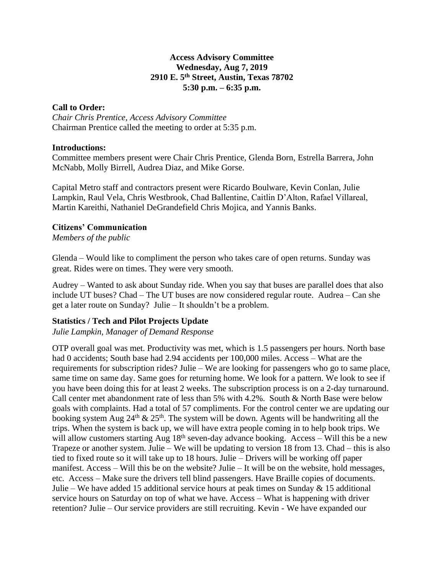## **Access Advisory Committee Wednesday, Aug 7, 2019 2910 E. 5th Street, Austin, Texas 78702 5:30 p.m. – 6:35 p.m.**

## **Call to Order:**

*Chair Chris Prentice, Access Advisory Committee* Chairman Prentice called the meeting to order at 5:35 p.m.

#### **Introductions:**

Committee members present were Chair Chris Prentice, Glenda Born, Estrella Barrera, John McNabb, Molly Birrell, Audrea Diaz, and Mike Gorse.

Capital Metro staff and contractors present were Ricardo Boulware, Kevin Conlan, Julie Lampkin, Raul Vela, Chris Westbrook, Chad Ballentine, Caitlin D'Alton, Rafael Villareal, Martin Kareithi, Nathaniel DeGrandefield Chris Mojica, and Yannis Banks.

## **Citizens' Communication**

*Members of the public*

Glenda – Would like to compliment the person who takes care of open returns. Sunday was great. Rides were on times. They were very smooth.

Audrey – Wanted to ask about Sunday ride. When you say that buses are parallel does that also include UT buses? Chad – The UT buses are now considered regular route. Audrea – Can she get a later route on Sunday? Julie – It shouldn't be a problem.

# **Statistics / Tech and Pilot Projects Update**

*Julie Lampkin, Manager of Demand Response*

OTP overall goal was met. Productivity was met, which is 1.5 passengers per hours. North base had 0 accidents; South base had 2.94 accidents per 100,000 miles. Access – What are the requirements for subscription rides? Julie – We are looking for passengers who go to same place, same time on same day. Same goes for returning home. We look for a pattern. We look to see if you have been doing this for at least 2 weeks. The subscription process is on a 2-day turnaround. Call center met abandonment rate of less than 5% with 4.2%. South & North Base were below goals with complaints. Had a total of 57 compliments. For the control center we are updating our booking system Aug  $24<sup>th</sup> \& 25<sup>th</sup>$ . The system will be down. Agents will be handwriting all the trips. When the system is back up, we will have extra people coming in to help book trips. We will allow customers starting Aug 18<sup>th</sup> seven-day advance booking. Access – Will this be a new Trapeze or another system. Julie – We will be updating to version 18 from 13. Chad – this is also tied to fixed route so it will take up to 18 hours. Julie – Drivers will be working off paper manifest. Access – Will this be on the website? Julie – It will be on the website, hold messages, etc. Access – Make sure the drivers tell blind passengers. Have Braille copies of documents. Julie – We have added 15 additional service hours at peak times on Sunday  $\&$  15 additional service hours on Saturday on top of what we have. Access – What is happening with driver retention? Julie – Our service providers are still recruiting. Kevin - We have expanded our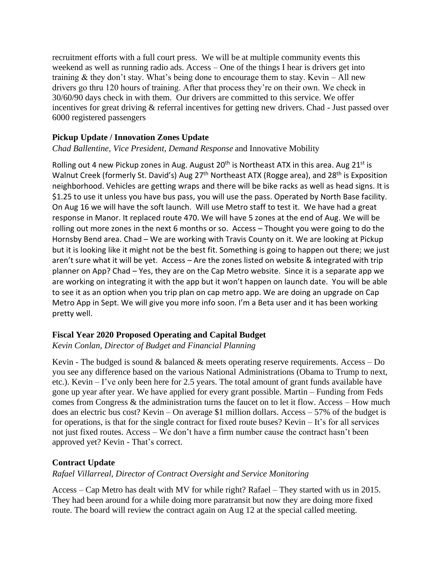recruitment efforts with a full court press. We will be at multiple community events this weekend as well as running radio ads. Access – One of the things I hear is drivers get into training  $\&$  they don't stay. What's being done to encourage them to stay. Kevin – All new drivers go thru 120 hours of training. After that process they're on their own. We check in 30/60/90 days check in with them. Our drivers are committed to this service. We offer incentives for great driving & referral incentives for getting new drivers. Chad - Just passed over 6000 registered passengers

# **Pickup Update / Innovation Zones Update**

*Chad Ballentine, Vice President, Demand Response* and Innovative Mobility

Rolling out 4 new Pickup zones in Aug. August  $20<sup>th</sup>$  is Northeast ATX in this area. Aug  $21<sup>st</sup>$  is Walnut Creek (formerly St. David's) Aug 27<sup>th</sup> Northeast ATX (Rogge area), and 28<sup>th</sup> is Exposition neighborhood. Vehicles are getting wraps and there will be bike racks as well as head signs. It is \$1.25 to use it unless you have bus pass, you will use the pass. Operated by North Base facility. On Aug 16 we will have the soft launch. Will use Metro staff to test it. We have had a great response in Manor. It replaced route 470. We will have 5 zones at the end of Aug. We will be rolling out more zones in the next 6 months or so. Access – Thought you were going to do the Hornsby Bend area. Chad – We are working with Travis County on it. We are looking at Pickup but it is looking like it might not be the best fit. Something is going to happen out there; we just aren't sure what it will be yet. Access – Are the zones listed on website & integrated with trip planner on App? Chad – Yes, they are on the Cap Metro website. Since it is a separate app we are working on integrating it with the app but it won't happen on launch date. You will be able to see it as an option when you trip plan on cap metro app. We are doing an upgrade on Cap Metro App in Sept. We will give you more info soon. I'm a Beta user and it has been working pretty well.

# **Fiscal Year 2020 Proposed Operating and Capital Budget**

# *Kevin Conlan, Director of Budget and Financial Planning*

Kevin - The budged is sound & balanced & meets operating reserve requirements. Access – Do you see any difference based on the various National Administrations (Obama to Trump to next, etc.). Kevin – I've only been here for 2.5 years. The total amount of grant funds available have gone up year after year. We have applied for every grant possible. Martin – Funding from Feds comes from Congress & the administration turns the faucet on to let it flow. Access – How much does an electric bus cost? Kevin – On average \$1 million dollars. Access – 57% of the budget is for operations, is that for the single contract for fixed route buses? Kevin – It's for all services not just fixed routes. Access – We don't have a firm number cause the contract hasn't been approved yet? Kevin - That's correct.

# **Contract Update**

# *Rafael Villarreal, Director of Contract Oversight and Service Monitoring*

Access – Cap Metro has dealt with MV for while right? Rafael – They started with us in 2015. They had been around for a while doing more paratransit but now they are doing more fixed route. The board will review the contract again on Aug 12 at the special called meeting.